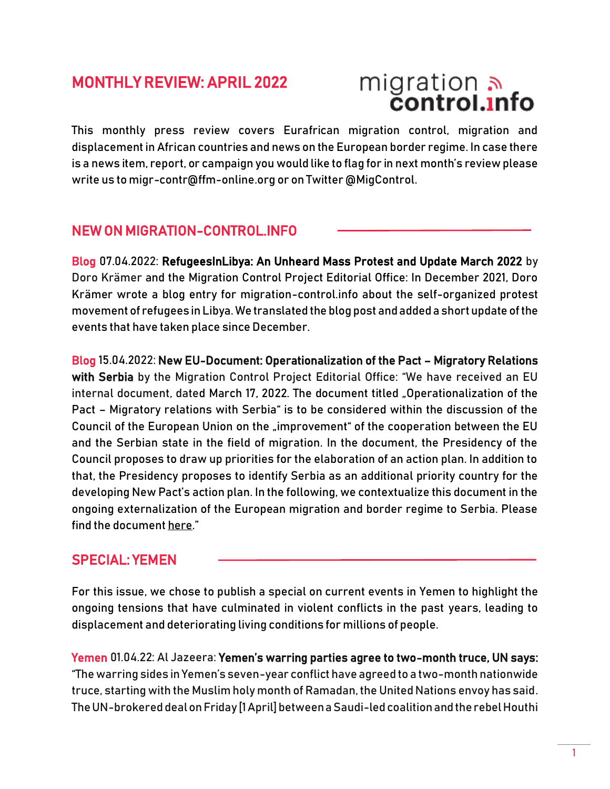## MONTHLY REVIEW: APRIL 2022

# migration<br>**control.info**

This monthly press review covers Eurafrican migration control, migration and displacement in African countries and news on the European border regime. In case there is a news item, report, or campaign you would like to flag for in next month's review please write us to migr-contr@ffm-online.org or on Twitter @MigControl.

#### NEW ON MIGRATION-CONTROL.INFO

Blog 07.04.2022: [RefugeesInLibya: An Unheard Mass Protest and Update March 2022](https://migration-control.info/refugeesinlibya-update-march-2022/) by Doro Krämer and the Migration Control Project Editorial Office: In December 2021, Doro Krämer wrote a blog entry for migration-control.info about the self-organized protest movement of refugees in Libya. We translated the blog post and added a short update of the events that have taken place since December.

Blog 15.04.2022: [New EU-Document: Operationalization of the Pact](https://migration-control.info/new-eu-document-operationalization-of-the-pact-migratory-relations-with-serbia/) – Migratory Relations [with Serbia](https://migration-control.info/new-eu-document-operationalization-of-the-pact-migratory-relations-with-serbia/) by the Migration Control Project Editorial Office: "We have received an EU internal document, dated March 17, 2022. The document titled "Operationalization of the Pact – Migratory relations with Serbia" is to be considered within the discussion of the Council of the European Union on the "improvement" of the cooperation between the EU and the Serbian state in the field of migration. In the document, the Presidency of the Council proposes to draw up priorities for the elaboration of an action plan. In addition to that, the Presidency proposes to identify Serbia as an additional priority country for the developing New Pact's action plan. In the following, we contextualize this document in the ongoing externalization of the European migration and border regime to Serbia. Please find the documen[t here](https://migration-control.info/wp-content/uploads/2022/04/Pact-Serbia.pdf)."

#### SPECIAL: YEMEN

For this issue, we chose to publish a special on current events in Yemen to highlight the ongoing tensions that have culminated in violent conflicts in the past years, leading to displacement and deteriorating living conditions for millions of people.

Yemen 01.04.22: Al Jazeera: [Yemen's warring parties agree to two](https://www.aljazeera.com/news/2022/4/1/yemens-warring-parties-agree-to-two-month-truce-un-says)-month truce, UN says: "The warring sides in Yemen's seven-year conflict have agreed to a two-month nationwide truce, starting with the Muslim holy month of Ramadan, the United Nations envoy has said. The UN-brokered deal on Friday [1 April] between a Saudi-led coalition and the rebel Houthi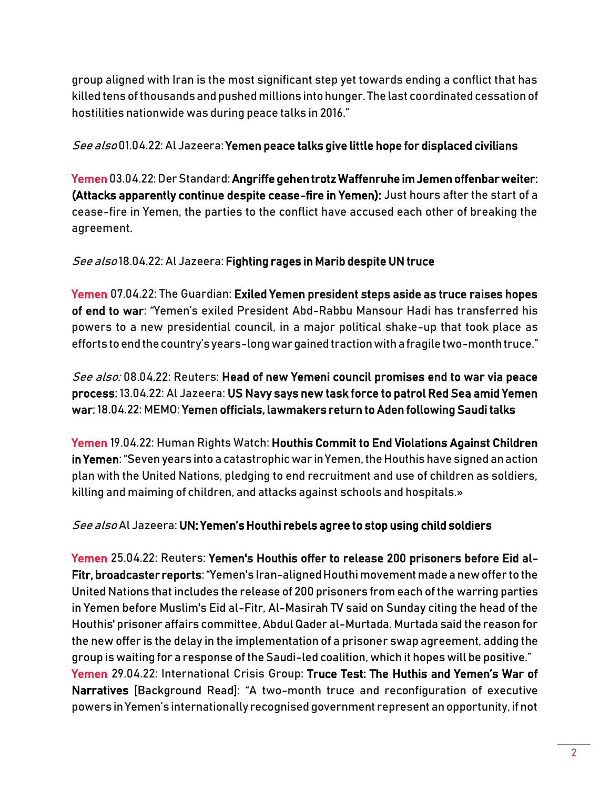group aligned with Iran is the most significant step yet towards ending a conflict that has killed tens of thousands and pushed millions into hunger. The last coordinated cessation of hostilities nationwide was during peace talks in 2016."

#### See also 01.04.22: Al Jazeera[: Yemen peace talks give little hope for displaced civilians](https://www.aljazeera.com/news/2022/4/1/yemen-peace-talks-give-little-hope-for-displaced-civilians)

Yemen 03.04.22: Der Standard[: Angriffe gehen trotz Waffenruhe im Jemen offenbar weiter:](https://www.derstandard.at/story/2000134638814/angriffe-gehen-trotz-waffenruhe-im-jemen-offenbar-weiter)  [\(Attacks apparently continue despite cease-fire in Yemen\):](https://www.derstandard.at/story/2000134638814/angriffe-gehen-trotz-waffenruhe-im-jemen-offenbar-weiter) Just hours after the start of a cease-fire in Yemen, the parties to the conflict have accused each other of breaking the agreement.

See also 18.04.22: Al Jazeera[: Fighting rages in Marib despite UN truce](https://www.aljazeera.com/news/2022/4/18/fighting-rages-in-marib-despite-un-truce)

Yemen 07.04.22: The Guardian: [Exiled Yemen president steps aside as truce raises hopes](https://www.theguardian.com/world/2022/apr/07/exiled-yemen-president-steps-aside-amid-hopes-over-truce-abd-rabbu-mansour-hadi)  [of end to war:](https://www.theguardian.com/world/2022/apr/07/exiled-yemen-president-steps-aside-amid-hopes-over-truce-abd-rabbu-mansour-hadi) "Yemen's exiled President Abd-Rabbu Mansour Hadi has transferred his powers to a new presidential council, in a major political shake-up that took place as efforts to end the country's years-long war gained traction with a fragile two-month truce."

See also: 08.04.22: Reuters: [Head of new Yemeni council promises end to war via peace](https://www.reuters.com/world/head-new-yemeni-council-promises-end-war-via-peace-process-2022-04-08/)  [process;](https://www.reuters.com/world/head-new-yemeni-council-promises-end-war-via-peace-process-2022-04-08/) 13.04.22: Al Jazeera[: US Navy says new task force to patrol Red Sea amid Yemen](https://www.aljazeera.com/news/2022/4/13/us-navy-says-new-task-force-to-patrol-red-sea-amid-yemen-war)  [war;](https://www.aljazeera.com/news/2022/4/13/us-navy-says-new-task-force-to-patrol-red-sea-amid-yemen-war) 18.04.22: MEMO: [Yemen officials, lawmakers return to Aden following Saudi talks](https://www.middleeastmonitor.com/20220418-yemen-officials-lawmakers-return-to-aden-following-saudi-talks/)

Yemen 19.04.22: Human Rights Watch[: Houthis Commit to End Violations Against Children](https://www.hrw.org/news/2022/04/19/houthis-commit-end-violations-against-children-yemen)  [in Yemen](https://www.hrw.org/news/2022/04/19/houthis-commit-end-violations-against-children-yemen): "Seven years into a catastrophic war in Yemen, the Houthis have signed an action plan with the United Nations, pledging to end recruitment and use of children as soldiers, killing and maiming of children, and attacks against schools and hospitals.»

See also Al Jazeera: [UN: Yemen's Houthi rebels agree to stop using child soldiers](https://www.aljazeera.com/news/2022/4/19/un-yemens-houthi-rebels-agree-to-stop-using-child-soldiers)

Yemen 25.04.22: Reuters: [Yemen's Houthis offer to release 200 prisoners before Eid al-](https://www.reuters.com/world/head-new-yemeni-council-promises-end-war-via-peace-process-2022-04-08/)[Fitr, broadcaster reports](https://www.reuters.com/world/head-new-yemeni-council-promises-end-war-via-peace-process-2022-04-08/): "Yemen's Iran-aligned Houthi movement made a new offer to the United Nations that includes the release of 200 prisoners from each of the warring parties in Yemen before Muslim's Eid al-Fitr, Al-Masirah TV said on Sunday citing the head of the Houthis' prisoner affairs committee, Abdul Qader al-Murtada. Murtada said the reason for the new offer is the delay in the implementation of a prisoner swap agreement, adding the group is waiting for a response of the Saudi-led coalition, which it hopes will be positive." Yemen 29.04.22: International Crisis Group: [Truce Test: The Huthis and Yemen's War of](https://www.crisisgroup.org/middle-east-north-africa/gulf-and-arabian-peninsula/yemen/233-truce-test-huthis-and-yemens-war-narratives)  [Narratives](https://www.crisisgroup.org/middle-east-north-africa/gulf-and-arabian-peninsula/yemen/233-truce-test-huthis-and-yemens-war-narratives) [Background Read]: "A two-month truce and reconfiguration of executive powers in Yemen's internationally recognised government represent an opportunity, if not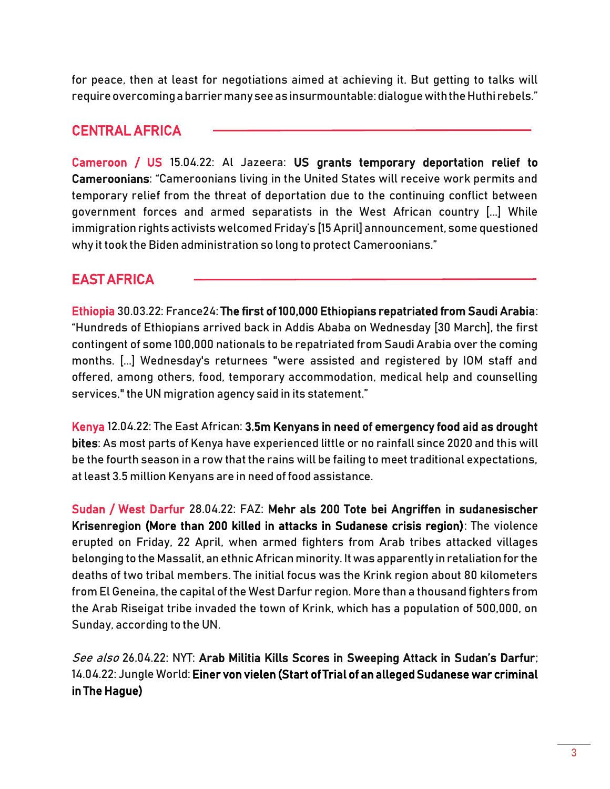for peace, then at least for negotiations aimed at achieving it. But getting to talks will require overcoming a barrier many see as insurmountable: dialogue with the Huthi rebels."

## CENTRAL AFRICA

Cameroon / US 15.04.22: Al Jazeera: [US grants temporary deportation relief to](https://www.aljazeera.com/news/2022/4/15/us-grants-temporary-deportation-relief-to-cameroonians)  [Cameroonians:](https://www.aljazeera.com/news/2022/4/15/us-grants-temporary-deportation-relief-to-cameroonians) "Cameroonians living in the United States will receive work permits and temporary relief from the threat of deportation due to the continuing conflict between government forces and armed separatists in the West African country [...] While immigration rights activists welcomed Friday's [15 April] announcement, some questioned why it took the Biden administration so long to protect Cameroonians."

## EAST AFRICA

Ethiopia 30.03.22: France24[: The first of 100,000 Ethiopians repatriated from Saudi Arabia:](https://www.france24.com/en/live-news/20220330-the-first-of-100-000-ethiopians-repatriated-from-saudi-arabia) "Hundreds of Ethiopians arrived back in Addis Ababa on Wednesday [30 March], the first contingent of some 100,000 nationals to be repatriated from Saudi Arabia over the coming months. [...] Wednesday's returnees "were assisted and registered by IOM staff and offered, among others, food, temporary accommodation, medical help and counselling services," the UN migration agency said in its statement."

Kenya 12.04.22: The East African: [3.5m Kenyans in need of emergency food aid as drought](https://www.theeastafrican.co.ke/tea/science-health/3m-kenyans-in-need-of-emergency-food-aid-drought-3779340)  [bites:](https://www.theeastafrican.co.ke/tea/science-health/3m-kenyans-in-need-of-emergency-food-aid-drought-3779340) As most parts of Kenya have experienced little or no rainfall since 2020 and this will be the fourth season in a row that the rains will be failing to meet traditional expectations, at least 3.5 million Kenyans are in need of food assistance.

Sudan / West Darfur 28.04.22: FAZ: [Mehr als 200 Tote bei Angriffen in sudanesischer](https://m.faz.net/aktuell/politik/ausland/mehr-als-200-tote-bei-zusammenstoessen-in-sudanesischer-krisenregion-darfur-17988863.html)  [Krisenregion](https://m.faz.net/aktuell/politik/ausland/mehr-als-200-tote-bei-zusammenstoessen-in-sudanesischer-krisenregion-darfur-17988863.html) (More than 200 killed in attacks in Sudanese crisis region): The violence erupted on Friday, 22 April, when armed fighters from Arab tribes attacked villages belonging to the Massalit, an ethnic African minority. It was apparently in retaliation for the deaths of two tribal members. The initial focus was the Krink region about 80 kilometers from El Geneina, the capital of the West Darfur region. More than a thousand fighters from the Arab Riseigat tribe invaded the town of Krink, which has a population of 500,000, on Sunday, according to the UN.

See also 26.04.22: NYT: [Arab Militia Kills Scores in Sweeping Attack in Sudan's Darfur](https://nyti.ms/3OB7g2M); 14.04.22: Jungle World[: Einer von vielen \(Start of Trial of an alleged Sudanese war criminal](https://jungle.world/artikel/2022/15/einer-von-vielen)  [in The Hague\)](https://jungle.world/artikel/2022/15/einer-von-vielen)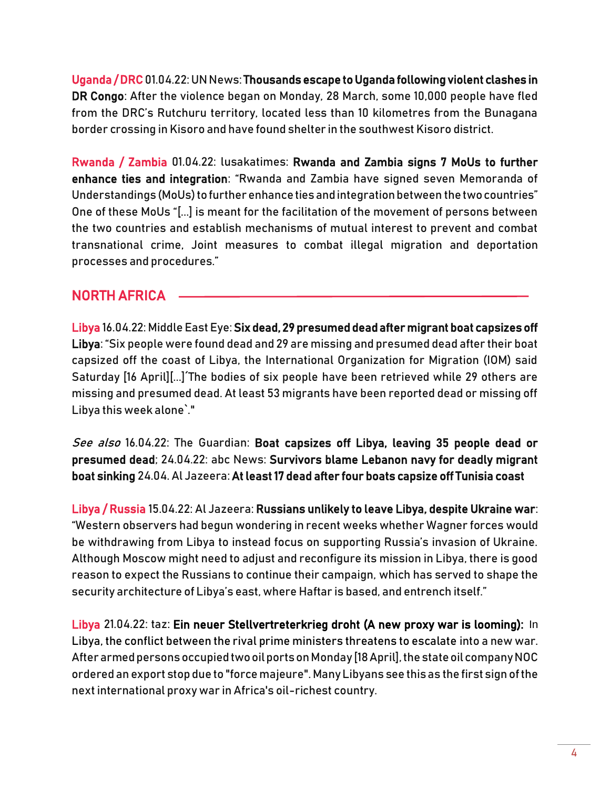Uganda / DRC 01.04.22: UN News[: Thousands escape to Uganda following violent clashes in](https://news.un.org/en/story/2022/04/1115362)  [DR Congo:](https://news.un.org/en/story/2022/04/1115362) After the violence began on Monday, 28 March, some 10,000 people have fled from the DRC's Rutchuru territory, located less than 10 kilometres from the Bunagana border crossing in Kisoro and have found shelter in the southwest Kisoro district.

Rwanda / Zambia 01.04.22: lusakatimes: [Rwanda and Zambia signs 7 MoUs to further](https://www.lusakatimes.com/2022/04/04/rwanda-and-zambia-signs-7-mous-to-further-enhance-ties-and-integration/)  [enhance ties and integration:](https://www.lusakatimes.com/2022/04/04/rwanda-and-zambia-signs-7-mous-to-further-enhance-ties-and-integration/) "Rwanda and Zambia have signed seven Memoranda of Understandings (MoUs) to further enhance ties and integration between the two countries" One of these MoUs "[...] is meant for the facilitation of the movement of persons between the two countries and establish mechanisms of mutual interest to prevent and combat transnational crime, Joint measures to combat illegal migration and deportation processes and procedures."

#### NORTH AFRICA

Libya 16.04.22: Middle East Eye[: Six dead, 29 presumed dead after migrant boat capsizes off](https://www.middleeasteye.net/news/six-dead-29-presumed-dead-after-migrant-boat-capsizes-libya)  [Libya](https://www.middleeasteye.net/news/six-dead-29-presumed-dead-after-migrant-boat-capsizes-libya): "Six people were found dead and 29 are missing and presumed dead after their boat capsized off the coast of Libya, the International Organization for Migration (IOM) said Saturday [16 April][...]´The bodies of six people have been retrieved while 29 others are missing and presumed dead. At least 53 migrants have been reported dead or missing off Libya this week alone`."

See also 16.04.22: The Guardian: Boat capsizes off Libya, leaving 35 people dead or [presumed dead;](https://www.theguardian.com/world/2022/apr/16/migrant-boat-capsizes-off-libya-with-35-people-dead-or-presumed-dead) 24.04.22: abc News: [Survivors blame Lebanon navy for deadly migrant](https://abcnews.go.com/International/wireStory/lebanese-army-recovers-bodies-capsized-migrant-boat-84275234)  [boat sinking](https://abcnews.go.com/International/wireStory/lebanese-army-recovers-bodies-capsized-migrant-boat-84275234) 24.04. Al Jazeera[: At least 17 dead after four boats capsize off Tunisia coast](https://www.aljazeera.com/news/2022/4/24/dozen-dead-10-missing-as-migrant-boat-sinks-off-tunisia) 

Libya / Russia 15.04.22: Al Jazeera: [Russians unlikely to leave Libya, despite Ukraine war:](https://www.aljazeera.com/news/2022/4/15/russians-unlikely-leave-libya-despite-ukraine-war) "Western observers had begun wondering in recent weeks whether Wagner forces would be withdrawing from Libya to instead focus on supporting Russia's invasion of Ukraine. Although Moscow might need to adjust and reconfigure its mission in Libya, there is good reason to expect the Russians to continue their campaign, which has served to shape the security architecture of Libya's east, where Haftar is based, and entrench itself."

Libya 21.04.22: taz: [Ein neuer Stellvertreterkrieg droht \(A new proxy war is looming\):](https://taz.de/Libyen-kommt-nicht-zur-Ruhe/!5846539/) In Libya, the conflict between the rival prime ministers threatens to escalate into a new war. After armed persons occupied two oil ports on Monday [18 April], the state oil company NOC ordered an export stop due to "force majeure". Many Libyans see this as the first sign of the next international proxy war in Africa's oil-richest country.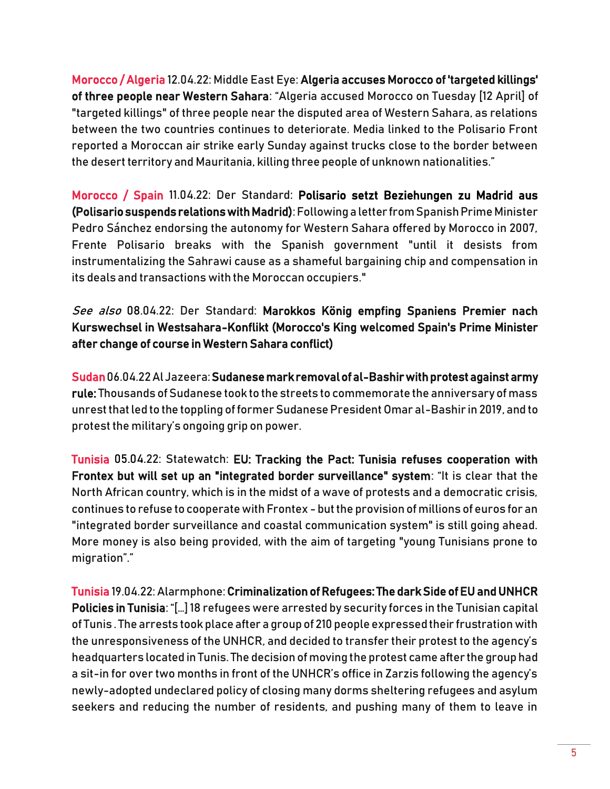Morocco / Algeria 12.04.22: Middle East Eye: [Algeria accuses Morocco of 'targeted killings'](https://www.middleeasteye.net/news/algeria-accuses-morocco-killing-western-sahara-area)  [of three people near Western Sahara:](https://www.middleeasteye.net/news/algeria-accuses-morocco-killing-western-sahara-area) "Algeria accused Morocco on Tuesday [12 April] of "targeted killings" of three people near the disputed area of Western Sahara, as relations between the two countries continues to deteriorate. Media linked to the Polisario Front reported a Moroccan air strike early Sunday against trucks close to the border between the desert territory and Mauritania, killing three people of unknown nationalities."

Morocco / Spain 11.04.22: Der Standard: [Polisario setzt Beziehungen zu Madrid aus](https://www.derstandard.at/story/2000134827077/polisario-setzt-beziehungen-zu-madrid-aus)  (Polisario suspends relations with Madrid): Following a letter from Spanish Prime Minister Pedro Sánchez endorsing the autonomy for Western Sahara offered by Morocco in 2007, Frente Polisario breaks with the Spanish government "until it desists from instrumentalizing the Sahrawi cause as a shameful bargaining chip and compensation in its deals and transactions with the Moroccan occupiers."

See also 08.04.22: Der Standard: [Marokkos König empfing Spaniens Premier nach](https://www.derstandard.at/story/2000134778252/marokkos-koenig-empfing-spaniens-premier-sanchez-nach-kurswechsel-in-westsahara)  [Kurswechsel in Westsahara-Konflikt](https://www.derstandard.at/story/2000134778252/marokkos-koenig-empfing-spaniens-premier-sanchez-nach-kurswechsel-in-westsahara) (Morocco's King welcomed Spain's Prime Minister after change of course in Western Sahara conflict)

Sudan06.04.22 Al Jazeera[: Sudanese mark removal of al-Bashir with protest against army](https://www.aljazeera.com/news/2022/4/6/sudanese-mark-toppling-of-bashir-with-protests-against-army-rule)  [rule:](https://www.aljazeera.com/news/2022/4/6/sudanese-mark-toppling-of-bashir-with-protests-against-army-rule) Thousands of Sudanese took to the streets to commemorate the anniversary of mass unrest that led to the toppling of former Sudanese President Omar al-Bashir in 2019, and to protest the military's ongoing grip on power.

Tunisia 05.04.22: Statewatch: [EU: Tracking the Pact: Tunisia refuses cooperation with](https://www.statewatch.org/news/2022/april/eu-tracking-the-pact-tunisia-refuses-cooperation-with-frontex-but-will-set-up-an-integrated-border-surveillance-system/)  [Frontex but will set up an "integrated border surveillance" system](https://www.statewatch.org/news/2022/april/eu-tracking-the-pact-tunisia-refuses-cooperation-with-frontex-but-will-set-up-an-integrated-border-surveillance-system/): "It is clear that the North African country, which is in the midst of a wave of protests and a democratic crisis, continues to refuse to cooperate with Frontex - but the provision of millions of euros for an "integrated border surveillance and coastal communication system" is still going ahead. More money is also being provided, with the aim of targeting "young Tunisians prone to migration"."

Tunisia 19.04.22: Alarmphone[: Criminalization of Refugees: The dark Side of EU and UNHCR](https://alarmphone.org/en/2022/04/19/criminalization-of-refugees-the-dark-side-of-eu-and-unhcr-policies-in-tunisia/)  [Policies in Tunisia](https://alarmphone.org/en/2022/04/19/criminalization-of-refugees-the-dark-side-of-eu-and-unhcr-policies-in-tunisia/): "[…] 18 refugees were arrested by security forces in the Tunisian capital of Tunis . The arrests took place after a group of 210 people expressed their frustration with the unresponsiveness of the UNHCR, and decided to transfer their protest to the agency's headquarters located in Tunis. The decision of moving the protest came after the group had a sit-in for over two months in front of the UNHCR's office in Zarzis following the agency's newly-adopted undeclared policy of closing many dorms sheltering refugees and asylum seekers and reducing the number of residents, and pushing many of them to leave in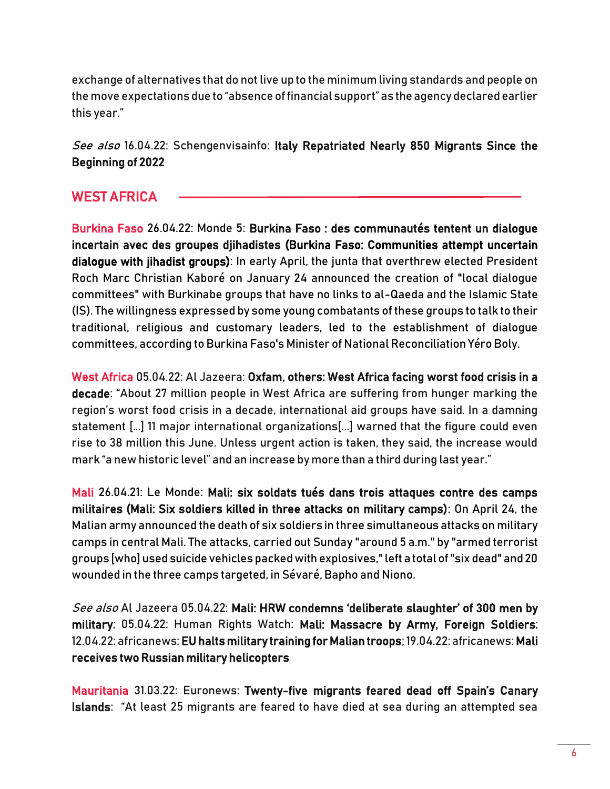exchange of alternatives that do not live up to the minimum living standards and people on the move expectations due to "absence of financial support" as the agency declared earlier this year."

See also 16.04.22: Schengenvisainfo: Italy Repatriated Nearly 850 Migrants Since the [Beginning of 2022](https://www.schengenvisainfo.com/news/italy-repatriated-nearly-850-migrants-since-the-beginning-of-2022/) 

## WEST AFRICA

Burkina Faso 26.04.22: Monde 5: [Burkina Faso : des communautés tentent un dialogue](https://information.tv5monde.com/afrique/burkina-faso-des-communautes-tentent-un-dialogue-incertain-avec-des-groupes-djihadistes)  [incertain avec des groupes djihadistes](https://information.tv5monde.com/afrique/burkina-faso-des-communautes-tentent-un-dialogue-incertain-avec-des-groupes-djihadistes) (Burkina Faso: Communities attempt uncertain dialogue with jihadist groups): In early April, the junta that overthrew elected President Roch Marc Christian Kaboré on January 24 announced the creation of "local dialogue committees" with Burkinabe groups that have no links to al-Qaeda and the Islamic State (IS). The willingness expressed by some young combatants of these groups to talk to their traditional, religious and customary leaders, led to the establishment of dialogue committees, according to Burkina Faso's Minister of National Reconciliation Yéro Boly.

West Africa 05.04.22: Al Jazeera: Oxfam, others: West Africa facing worst food crisis in a [decade](https://www.aljazeera.com/news/2022/4/5/west-africa-faces-worst-food-crisis-in-a-decade): "About 27 million people in West Africa are suffering from hunger marking the region's worst food crisis in a decade, international aid groups have said. In a damning statement [...] 11 major international organizations[...] warned that the figure could even rise to 38 million this June. Unless urgent action is taken, they said, the increase would mark "a new historic level" and an increase by more than a third during last year."

Mali 26.04.21: Le Monde: [Mali: six soldats tués dans trois attaques contre des camps](https://www.lemonde.fr/afrique/article/2022/04/25/mali-six-soldats-tues-dans-trois-attaques-contre-des-camps-militaires_6123570_3212.html)  [militaires \(Mali: Six soldiers killed in three attacks on military camps\):](https://www.lemonde.fr/afrique/article/2022/04/25/mali-six-soldats-tues-dans-trois-attaques-contre-des-camps-militaires_6123570_3212.html) On April 24, the Malian army announced the death of six soldiers in three simultaneous attacks on military camps in central Mali. The attacks, carried out Sunday "around 5 a.m." by "armed terrorist groups [who] used suicide vehicles packed with explosives," left a total of "six dead" and 20 wounded in the three camps targeted, in Sévaré, Bapho and Niono.

See also Al Jazeera 05.04.22: Mali: HRW condemns 'deliberate slaughter' of 300 men by [military;](https://www.aljazeera.com/news/2022/4/5/mali-military-foreign-fighters-summarily-execute-300-people-hrw) 05.04.22: Human Rights Watch: [Mali: Massacre by Army, Foreign Soldiers;](https://www.hrw.org/news/2022/04/05/mali-massacre-army-foreign-soldiers) 12.04.22: africanews[: EU halts military training for Malian troops;](https://www.africanews.com/2022/04/12/eu-halts-military-training-for-malian-troops/) 19.04.22: africanews[: Mali](https://www.africanews.com/2022/04/18/mali-receives-two-russian-military-helicopters/)  [receives two Russian military helicopters](https://www.africanews.com/2022/04/18/mali-receives-two-russian-military-helicopters/)

Mauritania 31.03.22: Euronews: Twenty-[five migrants feared dead off Spain's Canary](https://www.euronews.com/2022/03/31/twenty-five-migrants-feared-dead-off-spain-s-canary-islands)  [Islands:](https://www.euronews.com/2022/03/31/twenty-five-migrants-feared-dead-off-spain-s-canary-islands) "At least 25 migrants are feared to have died at sea during an attempted sea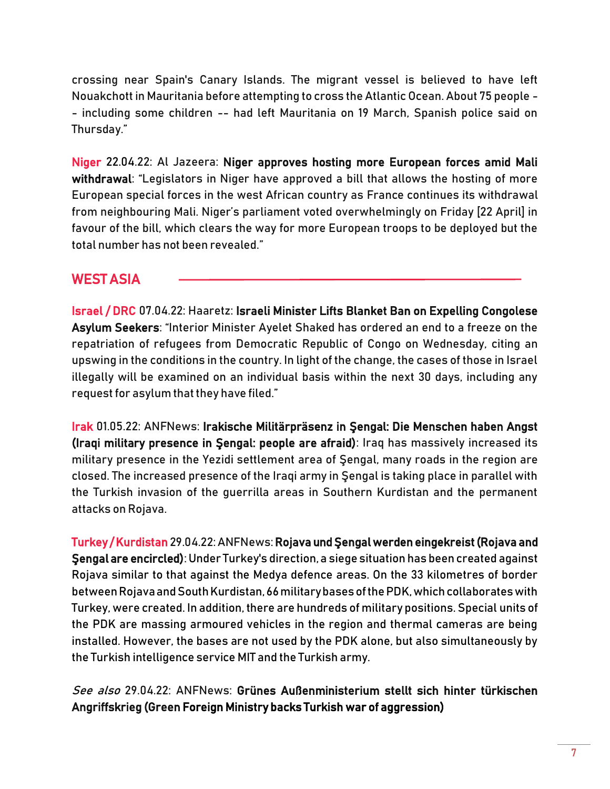crossing near Spain's Canary Islands. The migrant vessel is believed to have left Nouakchott in Mauritania before attempting to cross the Atlantic Ocean. About 75 people - - including some children -- had left Mauritania on 19 March, Spanish police said on Thursday."

Niger 22.04.22: Al Jazeera: [Niger approves hosting more European forces amid Mali](https://www.aljazeera.com/news/2022/4/22/niger-debates-hosting-more-european-forces-withdrawing-from-mali)  [withdrawal:](https://www.aljazeera.com/news/2022/4/22/niger-debates-hosting-more-european-forces-withdrawing-from-mali) "Legislators in Niger have approved a bill that allows the hosting of more European special forces in the west African country as France continues its withdrawal from neighbouring Mali. Niger's parliament voted overwhelmingly on Friday [22 April] in favour of the bill, which clears the way for more European troops to be deployed but the total number has not been revealed."

## WEST ASIA

Israel / DRC 07.04.22: Haaretz: [Israeli Minister Lifts Blanket Ban on Expelling Congolese](https://www.haaretz.com/israel-news/israeli-minister-lifts-blanket-ban-on-expelling-congolese-asylum-seekers-1.10726984)  [Asylum Seekers](https://www.haaretz.com/israel-news/israeli-minister-lifts-blanket-ban-on-expelling-congolese-asylum-seekers-1.10726984): "Interior Minister Ayelet Shaked has ordered an end to a freeze on the repatriation of refugees from Democratic Republic of Congo on Wednesday, citing an upswing in the conditions in the country. In light of the change, the cases of those in Israel illegally will be examined on an individual basis within the next 30 days, including any request for asylum that they have filed."

Irak 01.05.22: ANFNews: [Irakische Militärpräsenz in Şengal: Die Menschen haben Angst](https://anfdeutsch.com/kurdistan/irakische-militarprasenz-in-Sengal-die-menschen-haben-angst-31939) (Iraqi military presence in Şengal: people are afraid): Iraq has massively increased its military presence in the Yezidi settlement area of Şengal, many roads in the region are closed. The increased presence of the Iraqi army in Şengal is taking place in parallel with the Turkish invasion of the guerrilla areas in Southern Kurdistan and the permanent attacks on Rojava.

Turkey / Kurdistan 29.04.22: ANFNews: [Rojava und Şengal werden eingekreist](https://anfdeutsch.com/kurdistan/rojava-und-Sengal-werden-eingekreist-31905)(Rojava and Şengal are encircled): Under Turkey's direction, a siege situation has been created against Rojava similar to that against the Medya defence areas. On the 33 kilometres of border between Rojava and South Kurdistan, 66 military bases of the PDK, which collaborates with Turkey, were created. In addition, there are hundreds of military positions. Special units of the PDK are massing armoured vehicles in the region and thermal cameras are being installed. However, the bases are not used by the PDK alone, but also simultaneously by the Turkish intelligence service MIT and the Turkish army.

#### See also 29.04.22: ANFNews: [Grünes Außenministerium stellt sich hinter türkischen](https://anfdeutsch.com/menschenrechte/grunes-aussenministerium-stellt-sich-hinter-turkischen-angriffskrieg-31900)  [Angriffskrieg \(](https://anfdeutsch.com/menschenrechte/grunes-aussenministerium-stellt-sich-hinter-turkischen-angriffskrieg-31900)Green Foreign Ministry backs Turkish war of aggression)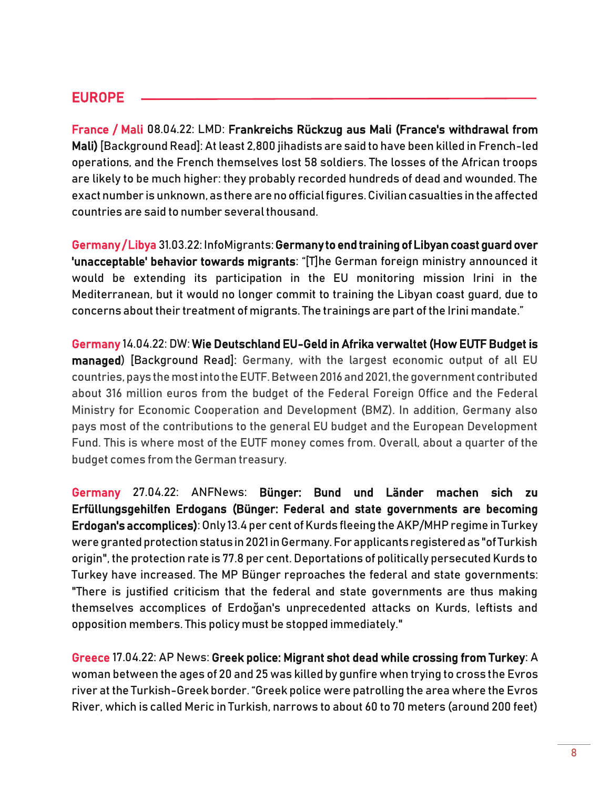#### EUROPE

France / Mali 08.04.22: LMD: [Frankreichs Rückzug aus Mali](https://www.monde-diplomatique.de/!5844469) (France's withdrawal from Mali) [Background Read]: At least 2,800 jihadists are said to have been killed in French-led operations, and the French themselves lost 58 soldiers. The losses of the African troops are likely to be much higher: they probably recorded hundreds of dead and wounded. The exact number is unknown, as there are no official figures. Civilian casualties in the affected countries are said to number several thousand.

Germany / Libya 31.03.22: InfoMigrants[: Germany to end training of Libyan coast guard over](https://www.infomigrants.net/en/post/39567/germany-to-end-training-of-libyan-coast-guard-over-unacceptable-behavior-towards-migrants)  ['unacceptable' behavior towards migrants](https://www.infomigrants.net/en/post/39567/germany-to-end-training-of-libyan-coast-guard-over-unacceptable-behavior-towards-migrants): "[T]he German foreign ministry announced it would be extending its participation in the EU monitoring mission Irini in the Mediterranean, but it would no longer commit to training the Libyan coast guard, due to concerns about their treatment of migrants. The trainings are part of the Irini mandate."

Germany 14.04.22: DW: [Wie Deutschland EU-Geld in Afrika verwaltet \(How EUTF Budget is](https://www.dw.com/de/wie-deutschland-eu-geld-in-afrika-verwaltet/a-61445516)  [managed\)](https://www.dw.com/de/wie-deutschland-eu-geld-in-afrika-verwaltet/a-61445516) [Background Read]: Germany, with the largest economic output of all EU countries, pays the most into the EUTF. Between 2016 and 2021, the government contributed about 316 million euros from the budget of the Federal Foreign Office and the Federal Ministry for Economic Cooperation and Development (BMZ). In addition, Germany also pays most of the contributions to the general EU budget and the European Development Fund. This is where most of the EUTF money comes from. Overall, about a quarter of the budget comes from the German treasury.

Germany 27.04.22: ANFNews[: Bünger: Bund und Länder machen sich zu](https://anfdeutsch.com/menschenrechte/bunger-bund-und-lander-machen-sich-zu-erfullungsgehilfen-erdogans-31871)  [Erfüllungsgehilfen Erdogans](https://anfdeutsch.com/menschenrechte/bunger-bund-und-lander-machen-sich-zu-erfullungsgehilfen-erdogans-31871) (Bünger: Federal and state governments are becoming Erdogan's accomplices): Only 13.4 per cent of Kurds fleeing the AKP/MHP regime in Turkey were granted protection status in 2021 in Germany. For applicants registered as "of Turkish origin", the protection rate is 77.8 per cent. Deportations of politically persecuted Kurds to Turkey have increased. The MP Bünger reproaches the federal and state governments: "There is justified criticism that the federal and state governments are thus making themselves accomplices of Erdoğan's unprecedented attacks on Kurds, leftists and opposition members. This policy must be stopped immediately."

Greece 17.04.22: AP News[: Greek police: Migrant shot dead while crossing from Turkey:](https://apnews.com/article/business-europe-middle-east-greece-turkey-4546048aad033db6cb2c56dae325f6d0) A woman between the ages of 20 and 25 was killed by gunfire when trying to cross the Evros river at the Turkish-Greek border. "Greek police were patrolling the area where the Evros River, which is called Meric in Turkish, narrows to about 60 to 70 meters (around 200 feet)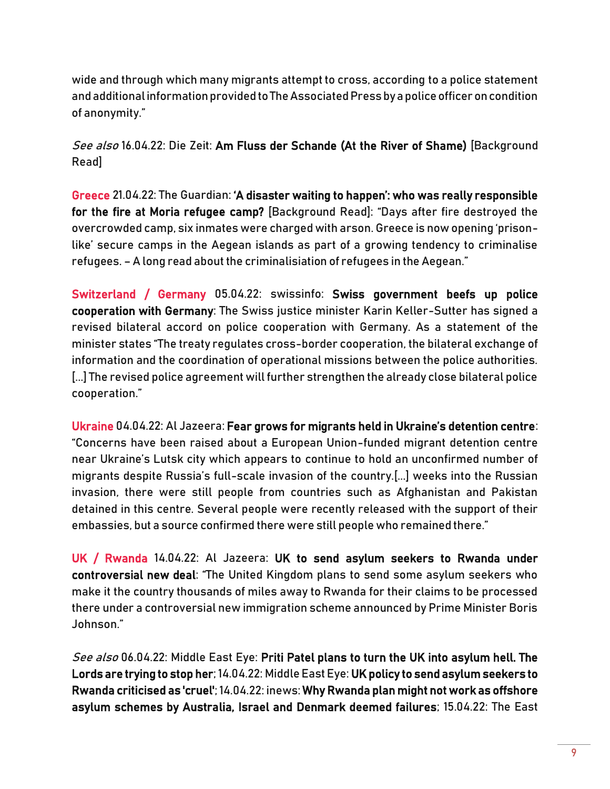wide and through which many migrants attempt to cross, according to a police statement and additional information provided to The Associated Press by a police officer on condition of anonymity."

See also 16.04.22: Die Zeit: [Am Fluss der Schande](https://www.zeit.de/politik/ausland/2022-04/griechenland-tuerkei-grenze-fluechtlinge-tod/komplettansicht) (At the River of Shame) [Background Read]

Greece 21.04.22: The Guardian: ['A disaster waiting to happen': who was really responsible](https://www.theguardian.com/world/2022/apr/21/disaster-waiting-to-happen-moria-refugee-camp-fire-greece-lesbos)  [for the fire at Moria refugee camp?](https://www.theguardian.com/world/2022/apr/21/disaster-waiting-to-happen-moria-refugee-camp-fire-greece-lesbos) [Background Read]: "Days after fire destroyed the overcrowded camp, six inmates were charged with arson. Greece is now opening 'prisonlike' secure camps in the Aegean islands as part of a growing tendency to criminalise refugees. – A long read about the criminalisiation of refugees in the Aegean."

Switzerland / Germany 05.04.22: swissinfo: [Swiss government beefs up police](https://www.swissinfo.ch/eng/swiss-government-beefs-up-police-cooperation-with-germany/47493742)  [cooperation with Germany:](https://www.swissinfo.ch/eng/swiss-government-beefs-up-police-cooperation-with-germany/47493742) The Swiss justice minister Karin Keller-Sutter has signed a revised bilateral accord on police cooperation with Germany. As a [statement o](https://www.ejpd.admin.ch/ejpd/de/home/aktuell/mm.msg-id-87893.html)f the minister states "The treaty regulates cross-border cooperation, the bilateral exchange of information and the coordination of operational missions between the police authorities. [...] The revised police agreement will further strengthen the already close bilateral police cooperation."

Ukraine 04.04.22: Al Jazeera: [Fear grows for migrants held in Ukraine's detention centre](https://www.aljazeera.com/news/2022/4/4/fear-grows-for-migrants-held-in-ukraines-detention-centre): "Concerns have been raised about a European Union-funded migrant detention centre near Ukraine's Lutsk city which appears to continue to hold an unconfirmed number of migrants despite Russia's full-scale invasion of the country.[...] weeks into the Russian invasion, there were still people from countries such as Afghanistan and Pakistan detained in this centre. Several people were recently released with the support of their embassies, but a source confirmed there were still people who remained there."

UK / Rwanda 14.04.22: Al Jazeera: [UK to send asylum seekers to Rwanda under](https://www.aljazeera.com/news/2022/4/14/uk-to-sign-deal-to-send-male-channel-refugees-to-rwanda-reports)  [controversial new deal](https://www.aljazeera.com/news/2022/4/14/uk-to-sign-deal-to-send-male-channel-refugees-to-rwanda-reports): "The United Kingdom plans to send some asylum seekers who make it the country thousands of miles away to Rwanda for their claims to be processed there under a controversial new immigration scheme announced by Prime Minister Boris Johnson."

See also 06.04.22: Middle East Eye: Priti Patel plans to turn the UK into asylum hell. The [Lords are trying to stop her;](https://www.middleeasteye.net/opinion/priti-patel-plans-turn-uk-asylum-hell-lords-are-trying-stop-her) 14.04.22: Middle East Eye[: UK policy to send asylum seekers to](https://www.middleeasteye.net/news/uk-rwanda-asylum-seekers-plan-criticised-cruel)  [Rwanda criticised as 'cruel';](https://www.middleeasteye.net/news/uk-rwanda-asylum-seekers-plan-criticised-cruel) 14.04.22: inews[: Why Rwanda plan might not work as offshore](https://inews.co.uk/news/rwanda-scheme-might-not-work-offshore-asylum-schemes-failures-1577123)  [asylum schemes by Australia, Israel and Denmark deemed failures;](https://inews.co.uk/news/rwanda-scheme-might-not-work-offshore-asylum-schemes-failures-1577123) 15.04.22: The East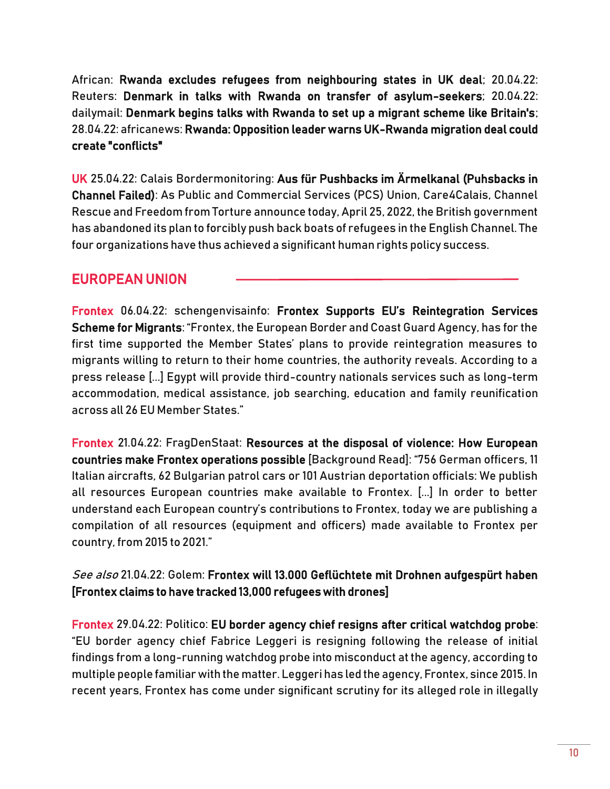African: [Rwanda excludes refugees from neighbouring states in UK deal;](https://www.theeastafrican.co.ke/tea/news/east-africa/rwanda-excludes-refugees-from-neighbouring-states-in-uk-deal-3783834) 20.04.22: Reuters: [Denmark in talks with Rwanda on transfer of asylum-seekers;](https://www.reuters.com/world/africa/denmark-talks-with-rwanda-transfer-asylum-seekers-2022-04-20/) 20.04.22: dailymail: [Denmark begins talks with Rwanda to set up a migrant scheme like Britain's;](https://www.dailymail.co.uk/news/article-10734963/Denmark-begins-talks-Rwanda-set-migrant-scheme-like-Britains.html) 28.04.22: africanews[: Rwanda: Opposition leader warns UK-Rwanda migration deal could](https://www.africanews.com/2022/04/27/rwanda-opposition-leader-warns-uk-rwanda-migration-deal-could-create-conflicts/)  [create "conflicts"](https://www.africanews.com/2022/04/27/rwanda-opposition-leader-warns-uk-rwanda-migration-deal-could-create-conflicts/)

UK 25.04.22: Calais Bordermonitoring: [Aus für Pushbacks im Ärmelkanal](https://calais.bordermonitoring.eu/2022/04/25/aus-fuer-pushbacks-im-aermelkanal/) (Puhsbacks in Channel Failed): As Public and Commercial Services (PCS) Union, Care4Calais, Channel Rescue and Freedom from Torture announce today, April 25, 2022, the British government has abandoned its plan to forcibly push back boats of refugees in the English Channel. The four organizations have thus achieved a significant human rights policy success.

#### EUROPEAN UNION

Frontex 06.04.22: schengenvisainfo: [Frontex Supports EU's Reintegration Services](https://www.schengenvisainfo.com/news/frontex-supports-eus-reintegration-services-scheme-for-migrants/)  [Scheme for Migrants](https://www.schengenvisainfo.com/news/frontex-supports-eus-reintegration-services-scheme-for-migrants/): "Frontex, the European Border and Coast Guard Agency, has for the first time supported the Member States' plans to provide reintegration measures to migrants willing to return to their home countries, the authority reveals. According to a press release [...] Egypt will provide third-country nationals services such as long-term accommodation, medical assistance, job searching, education and family reunification across all 26 EU Member States."

Frontex 21.04.22: FragDenStaat: [Resources at the disposal of violence: How European](https://fragdenstaat.de/en/blog/2022/04/21/european-countries-resources-frontex/)  [countries make Frontex operations possible](https://fragdenstaat.de/en/blog/2022/04/21/european-countries-resources-frontex/) [Background Read]: "756 German officers, 11 Italian aircrafts, 62 Bulgarian patrol cars or 101 Austrian deportation officials: We publish all resources European countries make available to Frontex. [...] In order to better understand each European country's contributions to Frontex, today we are publishing a compilation of all resources (equipment and officers) made available to Frontex per country, from 2015 to 2021."

#### See also 21.04.22: Golem: Frontex will 13.000 Geflüchtete mit Drohnen aufgespürt haben [Frontex claims to have tracked 13,000 refugees with drones]

Frontex 29.04.22: Politico: [EU border agency chief resigns after critical watchdog probe:](https://www.politico.eu/article/eu-border-agency-fabrice-leggeri-resigns-watchdog-probe-findings-released-misconduct/) "EU border agency chief Fabrice Leggeri is resigning following the release of initial findings from a long-running watchdog probe into misconduct at the agency, according to multiple people familiar with the matter. Leggeri has led the agency, Frontex, since 2015. In recent years, Frontex has come under significant [scrutiny](https://www.politico.eu/article/europe-migration-frontex-pushbacks-illegal-parliament-report/) for its alleged role in illegally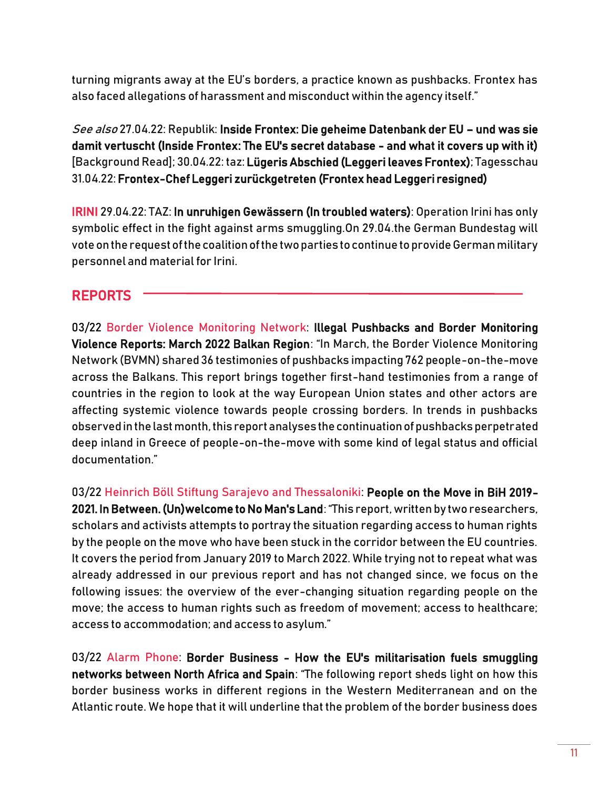turning migrants away at the EU's borders, a practice known as pushbacks. Frontex has also faced allegations of harassment and misconduct within the agency itself."

See also 27.04.22: Republik[: Inside Frontex: Die geheime Datenbank der EU](https://www.republik.ch/2022/04/27/inside-frontex-die-geheime-datenbank-der-eu) – und was sie [damit vertuscht \(Inside Frontex:](https://www.republik.ch/2022/04/27/inside-frontex-die-geheime-datenbank-der-eu) The EU's secret database - and what it covers up with it) [Background Read]; 30.04.22: taz[: Lügeris Abschied](https://www.taz.de/!5849366) (Leggeri leaves Frontex); Tagesschau 31.04.22[: Frontex-Chef Leggeri zurückgetreten \(](https://www.tagesschau.de/ausland/europa/frontex-leggeri-ruecktritt-101.html)Frontex head Leggeri resigned)

IRINI 29.04.22: TAZ[: In unruhigen Gewässern](https://www.taz.de/!5847425) (In troubled waters): Operation Irini has only symbolic effect in the fight against arms smuggling.On 29.04.the German Bundestag will vote on the request of the coalition of the two parties to continue to provide German military personnel and material for Irini.

## REPORTS

03/22 Border Violence Monitoring Network: [Illegal Pushbacks and Border Monitoring](https://www.borderviolence.eu/wp-content/uploads/MonthlyReportMarch2022-1.pdf?utm_source=mailpoet&utm_medium=email&utm_campaign=test-october-2020-monthly-report-on-border-violence-in-the-balkan-region_4)  [Violence Reports: March 2022 Balkan Region](https://www.borderviolence.eu/wp-content/uploads/MonthlyReportMarch2022-1.pdf?utm_source=mailpoet&utm_medium=email&utm_campaign=test-october-2020-monthly-report-on-border-violence-in-the-balkan-region_4)[:](https://www.borderviolence.eu/wp-content/uploads/MonthlyReportMarch2022-1.pdf?utm_source=mailpoet&utm_medium=email&utm_campaign=test-october-2020-monthly-report-on-border-violence-in-the-balkan-region_4) "In March, the Border Violence Monitoring Network (BVMN) shared 36 testimonies of pushbacks impacting 762 people-on-the-move across the Balkans. This report brings together first-hand testimonies from a range of countries in the region to look at the way European Union states and other actors are affecting systemic violence towards people crossing borders. In trends in pushbacks observed in the last month, this report analyses the continuation of pushbacks perpetrated deep inland in Greece of people-on-the-move with some kind of legal status and official documentation."

03/22 Heinrich Böll Stiftung Sarajevo and Thessaloniki: [People on the Move in BiH 2019-](https://ba.boell.org/sites/default/files/2022-03/People%20on%20the%20Move%20in%20BiH%202019-2021.pdf) [2021. In Between. \(Un\)welcome to No Man's Land](https://ba.boell.org/sites/default/files/2022-03/People%20on%20the%20Move%20in%20BiH%202019-2021.pdf)[:](https://ba.boell.org/sites/default/files/2022-03/People%20on%20the%20Move%20in%20BiH%202019-2021.pdf) "This report, written by two researchers, scholars and activists attempts to portray the situation regarding access to human rights by the people on the move who have been stuck in the corridor between the EU countries. It covers the period from January 2019 to March 2022. While trying not to repeat what was already addressed in our previous report and has not changed since, we focus on the following issues: the overview of the ever-changing situation regarding people on the move; the access to human rights such as freedom of movement; access to healthcare; access to accommodation; and access to asylum."

03/22 Alarm Phone: Border Business - How the EU's militarisation fuels smuggling [networks between North Africa and Spain](https://alarmphone.org/en/2022/03/31/border-business/): "The following report sheds light on how this border business works in different regions in the Western Mediterranean and on the Atlantic route. We hope that it will underline that the problem of the border business does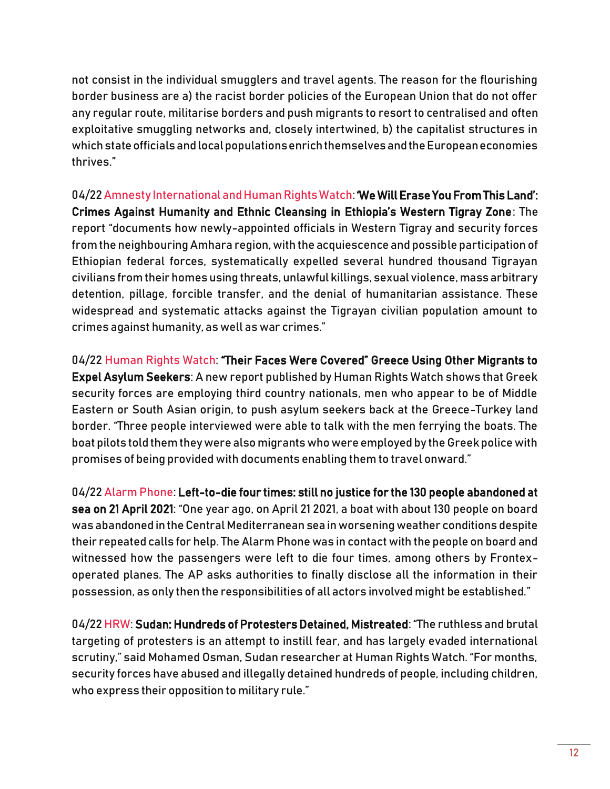not consist in the individual smugglers and travel agents. The reason for the flourishing border business are a) the racist border policies of the European Union that do not offer any regular route, militarise borders and push migrants to resort to centralised and often exploitative smuggling networks and, closely intertwined, b) the capitalist structures in which state officials and local populations enrich themselves and the European economies thrives."

04/22 Amnesty International and Human Rights Watch: ['We Will Erase You From This Land':](https://www.amnesty.org/en/wp-content/uploads/2022/04/AFR2554492022ENGLISH.pdf)  [Crimes Against Humanity and Ethnic Cleansing in Ethiopia's Western Tigray Zone](https://www.amnesty.org/en/wp-content/uploads/2022/04/AFR2554492022ENGLISH.pdf): The report "documents how newly-appointed officials in Western Tigray and security forces from the neighbouring Amhara region, with the acquiescence and possible participation of Ethiopian federal forces, systematically expelled several hundred thousand Tigrayan civilians from their homes using threats, unlawful killings, sexual violence, mass arbitrary detention, pillage, forcible transfer, and the denial of humanitarian assistance. These widespread and systematic attacks against the Tigrayan civilian population amount to crimes against humanity, as well as war crimes."

04/22 Human Rights Watch: ["Their Faces Were Covered" Greece Using Other Migrants to](https://www.hrw.org/report/2022/04/07/their-faces-were-covered/greeces-use-migrants-police-auxiliaries-pushbacks)  [Expel Asylum Seekers:](https://www.hrw.org/report/2022/04/07/their-faces-were-covered/greeces-use-migrants-police-auxiliaries-pushbacks) A new report published by Human Rights Watch shows that Greek security forces are employing third country nationals, men who appear to be of Middle Eastern or South Asian origin, to push asylum seekers back at the Greece-Turkey land border. "Three people interviewed were able to talk with the men ferrying the boats. The boat pilots told them they were also migrants who were employed by the Greek police with promises of being provided with documents enabling them to travel onward."

04/22 Alarm Phone[: Left-to-die four times: still no justice for the 130 people abandoned at](https://alarmphone.org/en/2022/04/22/left-to-die-four-times-still-no-justice-for-the-130-people-abandoned-at-sea-on-21-april-2021/?post_type_release_type=post)  [sea on 21 April 2021:](https://alarmphone.org/en/2022/04/22/left-to-die-four-times-still-no-justice-for-the-130-people-abandoned-at-sea-on-21-april-2021/?post_type_release_type=post) "One year ago, on April 21 2021, a boat with about 130 people on board was abandoned in the Central Mediterranean sea in worsening weather conditions despite their repeated calls for help. The Alarm Phone was in contact with the people on board and witnessed how the passengers were left to die four times, among others by Frontexoperated planes. The AP asks authorities to finally disclose all the information in their possession, as only then the responsibilities of all actors involved might be established."

04/2[2 HRW](https://www.hrw.org/news/2022/04/28/sudan-hundreds-protesters-detained-mistreated)[:](https://www.hrw.org/news/2022/04/28/sudan-hundreds-protesters-detained-mistreated) [Sudan: Hundreds of Protesters Detained, Mistreated:](https://www.hrw.org/news/2022/04/28/sudan-hundreds-protesters-detained-mistreated) "The ruthless and brutal targeting of protesters is an attempt to instill fear, and has largely evaded international scrutiny," said Mohamed Osman, Sudan researcher at Human Rights Watch. "For months, security forces have abused and illegally detained hundreds of people, including children, who express their opposition to military rule."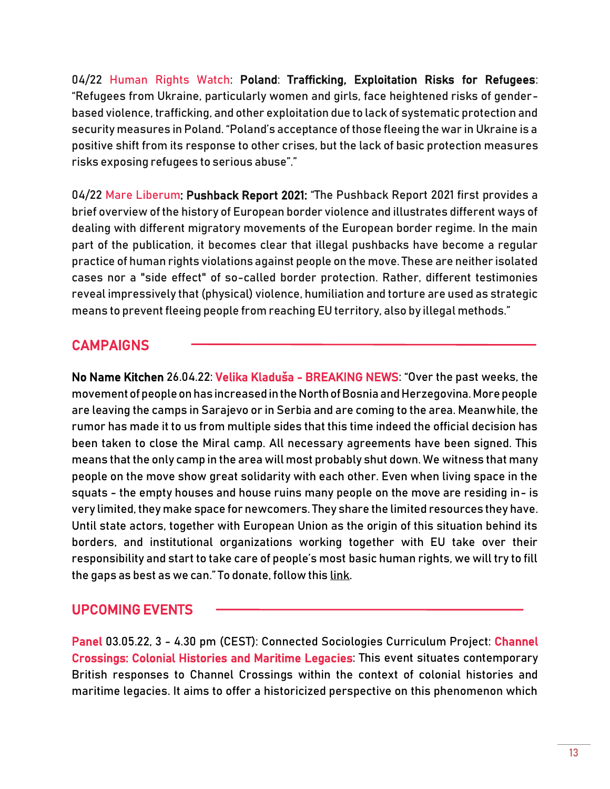04/22 Human Rights Watch: Poland: [Trafficking, Exploitation Risks for Refugees:](https://www.hrw.org/news/2022/04/29/poland-trafficking-exploitation-risks-refugees) "Refugees from Ukraine, particularly women and girls, face heightened risks of genderbased violence, trafficking, and other exploitation due to lack of systematic protection and security measures in Poland. "Poland's acceptance of those fleeing the war in Ukraine is a positive shift from its response to other crises, but the lack of basic protection measures risks exposing refugees to serious abuse"."

04/22 Mare Liberum: [Pushback Report 2021:](https://daten.mare-liberum.org/s/c9F7fqHN7GaEDib) "The Pushback Report 2021 first provides a brief overview of the history of European border violence and illustrates different ways of dealing with different migratory movements of the European border regime. In the main part of the publication, it becomes clear that illegal pushbacks have become a regular practice of human rights violations against people on the move. These are neither isolated cases nor a "side effect" of so-called border protection. Rather, different testimonies reveal impressively that (physical) violence, humiliation and torture are used as strategic means to prevent fleeing people from reaching EU territory, also by illegal methods."

## **CAMPAIGNS**

No Name Kitchen 26.04.22: Velika Kladuša [- BREAKING NEWS:](https://www.getrevue.co/profile/nonamekitchen/issues/velika-kladusa-breaking-news-novedades-1125793) "Over the past weeks, the movement of people on has increased in the North of Bosnia and Herzegovina. More people are leaving the camps in Sarajevo or in Serbia and are coming to the area. Meanwhile, the rumor has made it to us from multiple sides that this time indeed the official decision has been taken to close the Miral camp. All necessary agreements have been signed. This means that the only camp in the area will most probably shut down. We witness that many people on the move show great solidarity with each other. Even when living space in the squats - the empty houses and house ruins many people on the move are residing in- is very limited, they make space for newcomers. They share the limited resources they have. Until state actors, together with European Union as the origin of this situation behind its borders, and institutional organizations working together with EU take over their responsibility and start to take care of people's most basic human rights, we will try to fill the gaps as best as we can." To donate, follow this [link.](https://donorbox.org/emergency-in-northern-bosnia?utm_campaign=No%20Name%20Kitchen&utm_medium=email&utm_source=Revue%20newsletter)

#### UPCOMING EVENTS

Panel 03.05.22, 3 - 4.30 pm (CEST): Connected Sociologies Curriculum Project: [Channel](https://www.eventbrite.co.uk/e/channel-crossings-colonial-histories-and-maritime-legacies-tickets-316314704797)  [Crossings: Colonial Histories and Maritime Legacies:](https://www.eventbrite.co.uk/e/channel-crossings-colonial-histories-and-maritime-legacies-tickets-316314704797) This event situates contemporary British responses to Channel Crossings within the context of colonial histories and maritime legacies. It aims to offer a historicized perspective on this phenomenon which